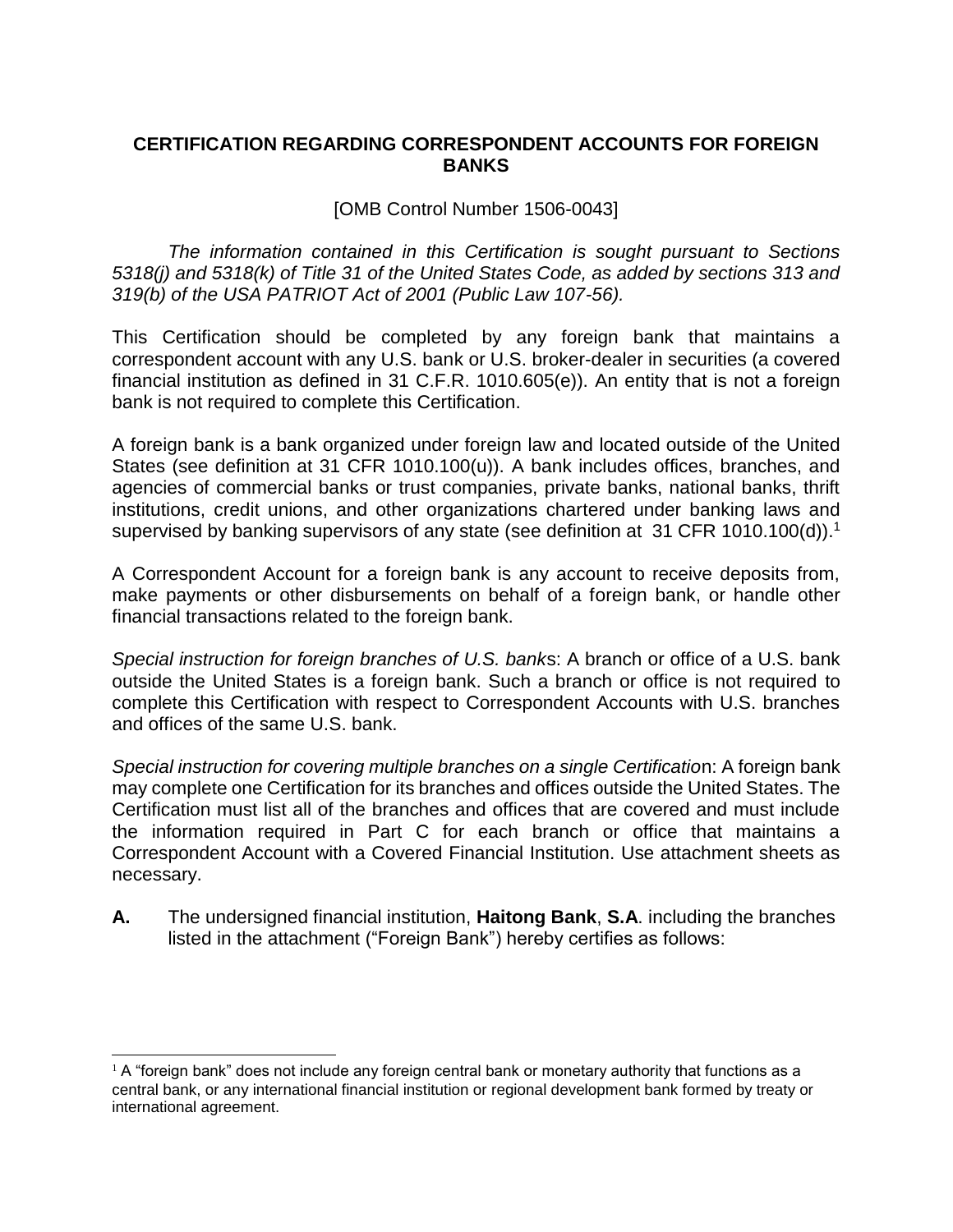## **CERTIFICATION REGARDING CORRESPONDENT ACCOUNTS FOR FOREIGN BANKS**

#### [OMB Control Number 1506-0043]

*The information contained in this Certification is sought pursuant to Sections 5318(j) and 5318(k) of Title 31 of the United States Code, as added by sections 313 and 319(b) of the USA PATRIOT Act of 2001 (Public Law 107-56).*

This Certification should be completed by any foreign bank that maintains a correspondent account with any U.S. bank or U.S. broker-dealer in securities (a covered financial institution as defined in 31 C.F.R. 1010.605(e)). An entity that is not a foreign bank is not required to complete this Certification.

A foreign bank is a bank organized under foreign law and located outside of the United States (see definition at 31 CFR 1010.100(u)). A bank includes offices, branches, and agencies of commercial banks or trust companies, private banks, national banks, thrift institutions, credit unions, and other organizations chartered under banking laws and supervised by banking supervisors of any state (see definition at 31 CFR 1010.100(d)).<sup>1</sup>

A Correspondent Account for a foreign bank is any account to receive deposits from, make payments or other disbursements on behalf of a foreign bank, or handle other financial transactions related to the foreign bank.

*Special instruction for foreign branches of U.S. bank*s: A branch or office of a U.S. bank outside the United States is a foreign bank. Such a branch or office is not required to complete this Certification with respect to Correspondent Accounts with U.S. branches and offices of the same U.S. bank.

*Special instruction for covering multiple branches on a single Certificatio*n: A foreign bank may complete one Certification for its branches and offices outside the United States. The Certification must list all of the branches and offices that are covered and must include the information required in Part C for each branch or office that maintains a Correspondent Account with a Covered Financial Institution. Use attachment sheets as necessary.

**A.** The undersigned financial institution, **Haitong Bank**, **S.A**. including the branches listed in the attachment ("Foreign Bank") hereby certifies as follows:

 $\overline{\phantom{a}}$  $1$  A "foreign bank" does not include any foreign central bank or monetary authority that functions as a central bank, or any international financial institution or regional development bank formed by treaty or international agreement.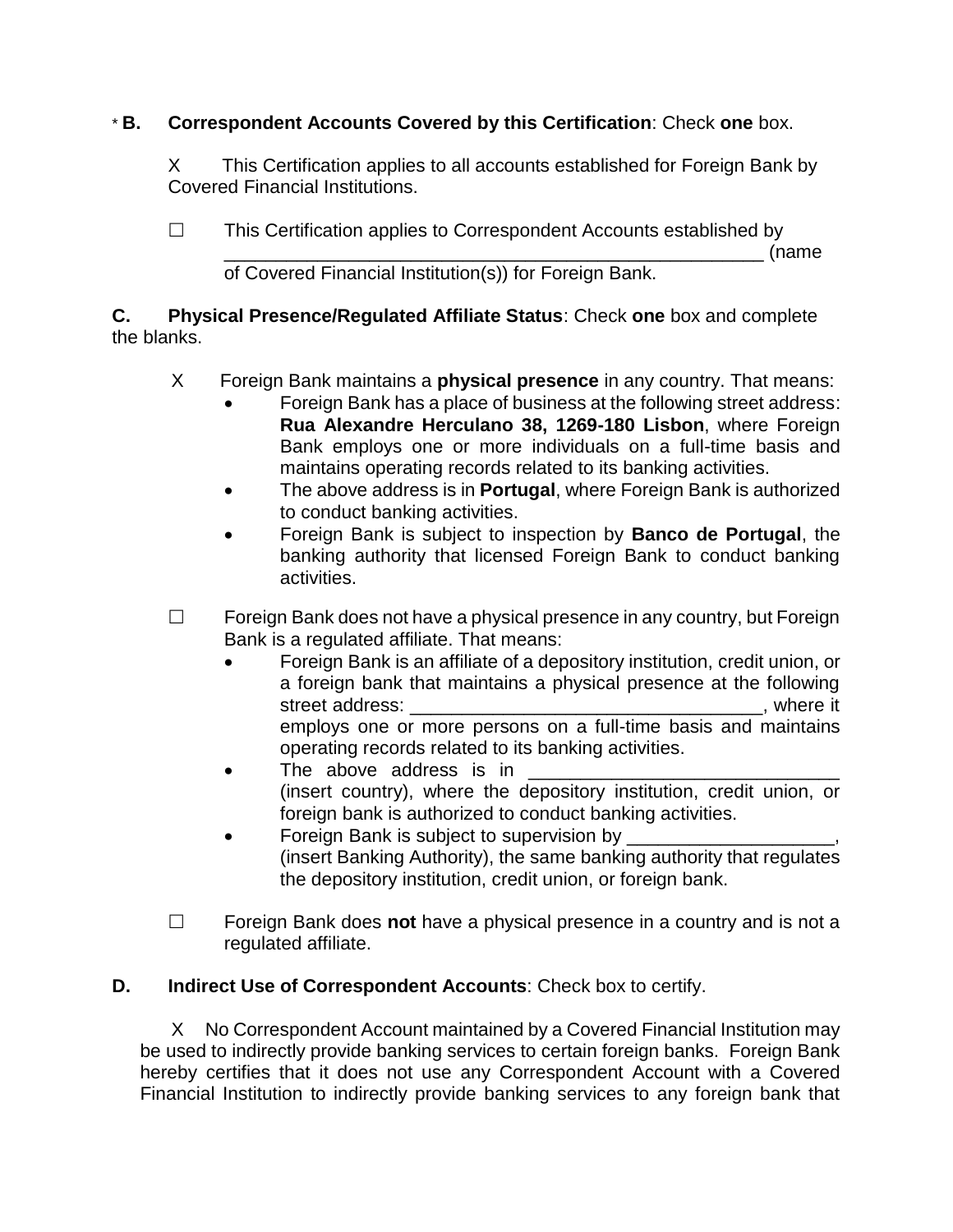# \* **B. Correspondent Accounts Covered by this Certification**: Check **one** box.

X This Certification applies to all accounts established for Foreign Bank by Covered Financial Institutions.

 $\Box$  This Certification applies to Correspondent Accounts established by \_\_\_\_\_\_\_\_\_\_\_\_\_\_\_\_\_\_\_\_\_\_\_\_\_\_\_\_\_\_\_\_\_\_\_\_\_\_\_\_\_\_\_\_\_\_\_\_\_\_\_\_ (name

of Covered Financial Institution(s)) for Foreign Bank.

## **C. Physical Presence/Regulated Affiliate Status**: Check **one** box and complete the blanks.

- X Foreign Bank maintains a **physical presence** in any country. That means:
	- Foreign Bank has a place of business at the following street address: **Rua Alexandre Herculano 38, 1269-180 Lisbon**, where Foreign Bank employs one or more individuals on a full-time basis and maintains operating records related to its banking activities.
	- The above address is in **Portugal**, where Foreign Bank is authorized to conduct banking activities.
	- Foreign Bank is subject to inspection by **Banco de Portugal**, the banking authority that licensed Foreign Bank to conduct banking activities.
- $\Box$  Foreign Bank does not have a physical presence in any country, but Foreign Bank is a regulated affiliate. That means:
	- Foreign Bank is an affiliate of a depository institution, credit union, or a foreign bank that maintains a physical presence at the following street address:  $\blacksquare$ employs one or more persons on a full-time basis and maintains operating records related to its banking activities.
	- The above address is in (insert country), where the depository institution, credit union, or foreign bank is authorized to conduct banking activities.
	- Foreign Bank is subject to supervision by (insert Banking Authority), the same banking authority that regulates the depository institution, credit union, or foreign bank.
- Foreign Bank does **not** have a physical presence in a country and is not a regulated affiliate.

# **D. Indirect Use of Correspondent Accounts**: Check box to certify.

 X No Correspondent Account maintained by a Covered Financial Institution may be used to indirectly provide banking services to certain foreign banks. Foreign Bank hereby certifies that it does not use any Correspondent Account with a Covered Financial Institution to indirectly provide banking services to any foreign bank that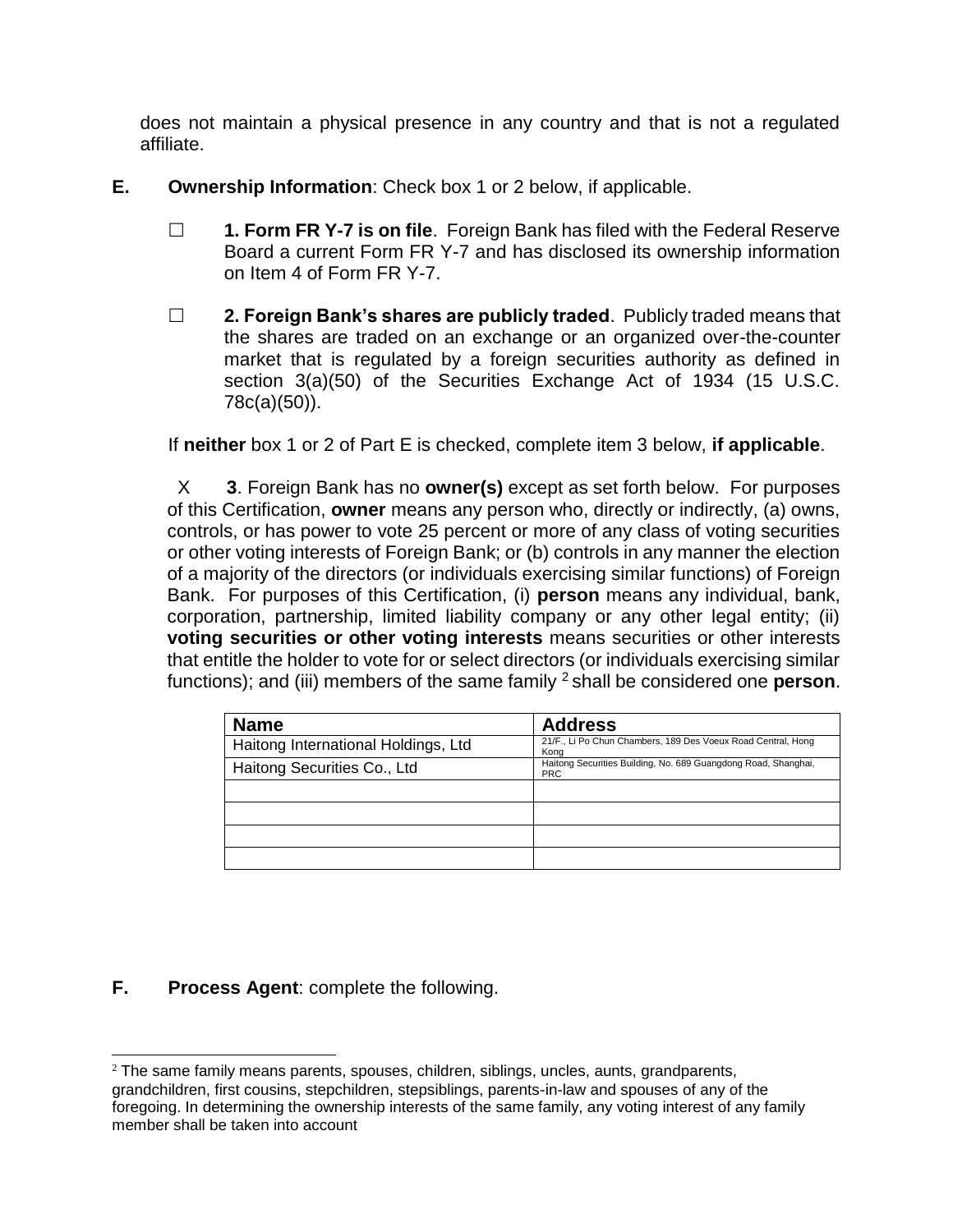does not maintain a physical presence in any country and that is not a regulated affiliate.

- **E. Ownership Information**: Check box 1 or 2 below, if applicable.
	- **1. Form FR Y-7 is on file**. Foreign Bank has filed with the Federal Reserve Board a current Form FR Y-7 and has disclosed its ownership information on Item 4 of Form FR Y-7.
	- **2. Foreign Bank's shares are publicly traded**. Publicly traded means that the shares are traded on an exchange or an organized over-the-counter market that is regulated by a foreign securities authority as defined in section 3(a)(50) of the Securities Exchange Act of 1934 (15 U.S.C. 78c(a)(50)).

If **neither** box 1 or 2 of Part E is checked, complete item 3 below, **if applicable**.

X **3**. Foreign Bank has no **owner(s)** except as set forth below. For purposes of this Certification, **owner** means any person who, directly or indirectly, (a) owns, controls, or has power to vote 25 percent or more of any class of voting securities or other voting interests of Foreign Bank; or (b) controls in any manner the election of a majority of the directors (or individuals exercising similar functions) of Foreign Bank. For purposes of this Certification, (i) **person** means any individual, bank, corporation, partnership, limited liability company or any other legal entity; (ii) **voting securities or other voting interests** means securities or other interests that entitle the holder to vote for or select directors (or individuals exercising similar functions); and (iii) members of the same family <sup>2</sup> shall be considered one **person**.

| <b>Name</b>                         | <b>Address</b>                                                               |
|-------------------------------------|------------------------------------------------------------------------------|
| Haitong International Holdings, Ltd | 21/F., Li Po Chun Chambers, 189 Des Voeux Road Central, Hong<br>Kona         |
| Haitong Securities Co., Ltd         | Haitong Securities Building, No. 689 Guangdong Road, Shanghai,<br><b>PRC</b> |
|                                     |                                                                              |
|                                     |                                                                              |
|                                     |                                                                              |
|                                     |                                                                              |

# **F. Process Agent**: complete the following.

 $\overline{\phantom{a}}$ 

 $2$  The same family means parents, spouses, children, siblings, uncles, aunts, grandparents, grandchildren, first cousins, stepchildren, stepsiblings, parents-in-law and spouses of any of the foregoing. In determining the ownership interests of the same family, any voting interest of any family member shall be taken into account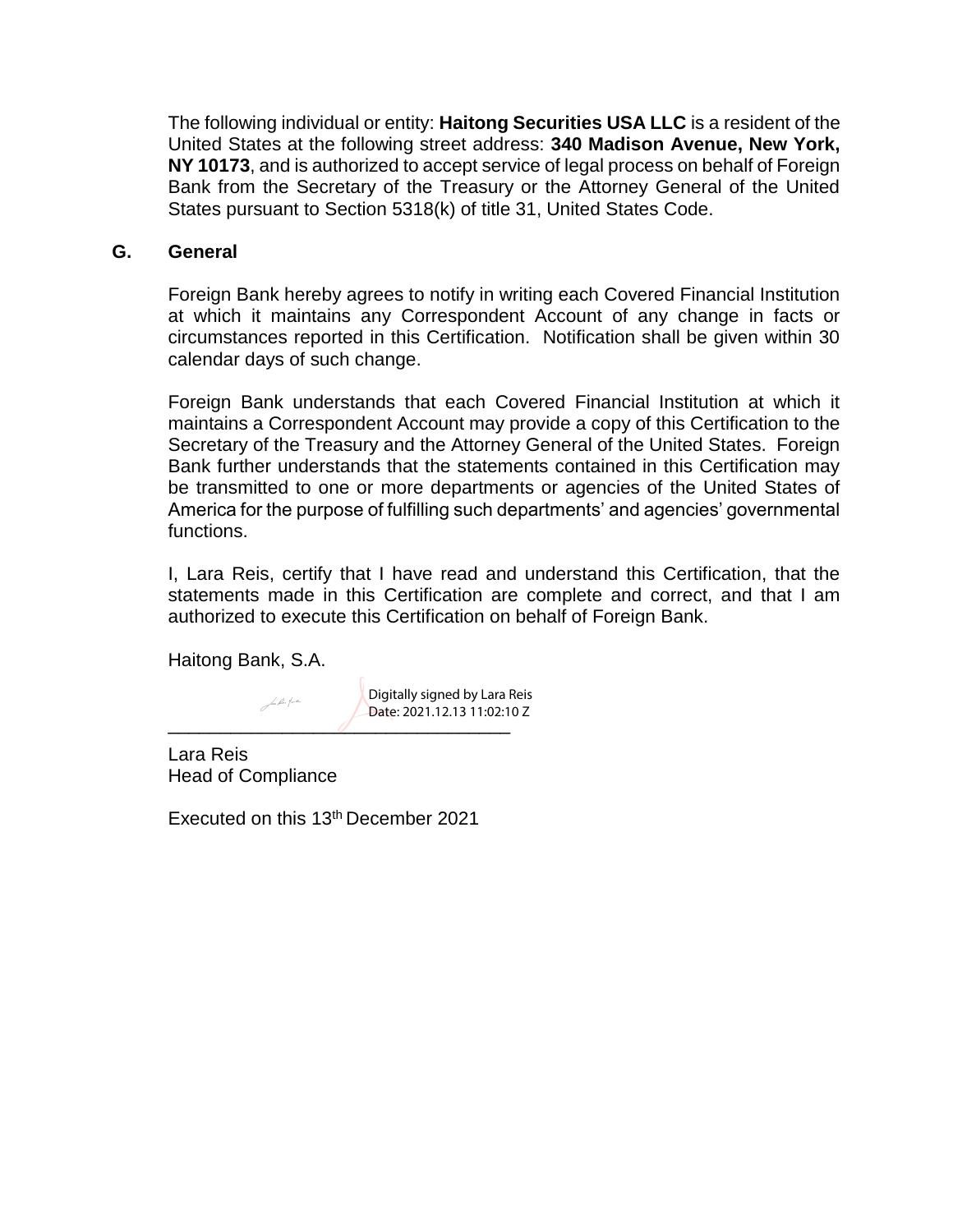The following individual or entity: **Haitong Securities USA LLC** is a resident of the United States at the following street address: **340 Madison Avenue, New York, NY 10173**, and is authorized to accept service of legal process on behalf of Foreign Bank from the Secretary of the Treasury or the Attorney General of the United States pursuant to Section 5318(k) of title 31, United States Code.

#### **G. General**

Foreign Bank hereby agrees to notify in writing each Covered Financial Institution at which it maintains any Correspondent Account of any change in facts or circumstances reported in this Certification. Notification shall be given within 30 calendar days of such change.

Foreign Bank understands that each Covered Financial Institution at which it maintains a Correspondent Account may provide a copy of this Certification to the Secretary of the Treasury and the Attorney General of the United States. Foreign Bank further understands that the statements contained in this Certification may be transmitted to one or more departments or agencies of the United States of America for the purpose of fulfilling such departments' and agencies' governmental functions.

I, Lara Reis, certify that I have read and understand this Certification, that the statements made in this Certification are complete and correct, and that I am authorized to execute this Certification on behalf of Foreign Bank.

Haitong Bank, S.A.

Jon flex factor

 $\int$ Digitally signed by Lara Reis Date: 2021.12.13 11:02:10 Z

Lara Reis Head of Compliance

Executed on this 13th December 2021